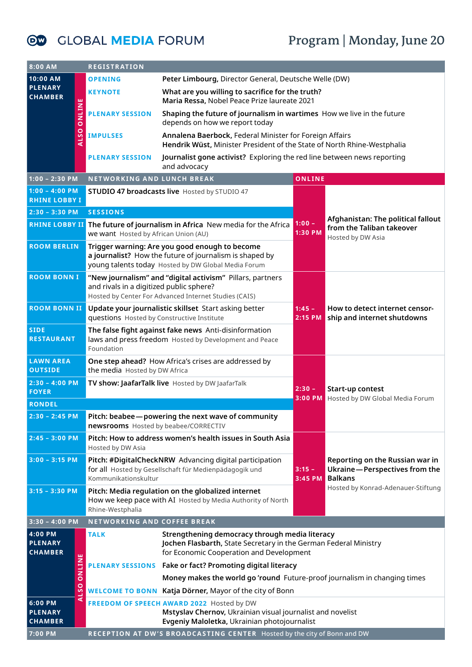## **Program | Monday, June 20**

**OW GLOBAL MEDIA FORUM** 

| 8:00 AM                                          | <b>REGISTRATION</b>                                                                         |                                                                                                                                                                  |                     |                                                                                                                          |  |  |
|--------------------------------------------------|---------------------------------------------------------------------------------------------|------------------------------------------------------------------------------------------------------------------------------------------------------------------|---------------------|--------------------------------------------------------------------------------------------------------------------------|--|--|
| 10:00 AM                                         | Peter Limbourg, Director General, Deutsche Welle (DW)<br><b>OPENING</b>                     |                                                                                                                                                                  |                     |                                                                                                                          |  |  |
| <b>PLENARY</b><br><b>CHAMBER</b>                 | <b>KEYNOTE</b>                                                                              | What are you willing to sacrifice for the truth?<br>Maria Ressa, Nobel Peace Prize laureate 2021                                                                 |                     |                                                                                                                          |  |  |
| <b>ONLINE</b>                                    | <b>PLENARY SESSION</b>                                                                      | Shaping the future of journalism in wartimes How we live in the future<br>depends on how we report today                                                         |                     |                                                                                                                          |  |  |
| <b>ALSO</b>                                      | <b>IMPULSES</b>                                                                             | Annalena Baerbock, Federal Minister for Foreign Affairs<br>Hendrik Wüst, Minister President of the State of North Rhine-Westphalia                               |                     |                                                                                                                          |  |  |
|                                                  | <b>PLENARY SESSION</b>                                                                      | Journalist gone activist? Exploring the red line between news reporting<br>and advocacy                                                                          |                     |                                                                                                                          |  |  |
| $1:00 - 2:30$ PM                                 | NETWORKING AND LUNCH BREAK                                                                  |                                                                                                                                                                  | ONLINE              |                                                                                                                          |  |  |
| $1:00 - 4:00$ PM<br><b>RHINE LOBBY I</b>         |                                                                                             | STUDIO 47 broadcasts live Hosted by STUDIO 47                                                                                                                    |                     |                                                                                                                          |  |  |
| $2:30 - 3:30 PM$                                 | <b>SESSIONS</b>                                                                             |                                                                                                                                                                  |                     |                                                                                                                          |  |  |
|                                                  | we want Hosted by African Union (AU)                                                        | <b>RHINE LOBBY II</b> The future of journalism in Africa New media for the Africa                                                                                | $1:00 -$<br>1:30 PM | Afghanistan: The political fallout<br>from the Taliban takeover<br>Hosted by DW Asia                                     |  |  |
| <b>ROOM BERLIN</b>                               |                                                                                             | Trigger warning: Are you good enough to become<br>a journalist? How the future of journalism is shaped by<br>young talents today Hosted by DW Global Media Forum |                     |                                                                                                                          |  |  |
| <b>ROOM BONN I</b>                               | and rivals in a digitized public sphere?                                                    | "New journalism" and "digital activism" Pillars, partners<br>Hosted by Center For Advanced Internet Studies (CAIS)                                               |                     | How to detect internet censor-<br>ship and internet shutdowns                                                            |  |  |
| <b>ROOM BONN II</b>                              | questions Hosted by Constructive Institute                                                  | Update your journalistic skillset Start asking better                                                                                                            | $1:45 -$<br>2:15 PM |                                                                                                                          |  |  |
| <b>SIDE</b><br><b>RESTAURANT</b>                 | Foundation                                                                                  | The false fight against fake news Anti-disinformation<br>laws and press freedom Hosted by Development and Peace                                                  |                     |                                                                                                                          |  |  |
| <b>LAWN AREA</b><br><b>OUTSIDE</b>               | One step ahead? How Africa's crises are addressed by<br>the media Hosted by DW Africa       |                                                                                                                                                                  |                     |                                                                                                                          |  |  |
| $2:30 - 4:00$ PM<br><b>FOYER</b>                 | TV show: JaafarTalk live Hosted by DW JaafarTalk                                            |                                                                                                                                                                  | $2:30 -$<br>3:00 PM | Start-up contest<br>Hosted by DW Global Media Forum                                                                      |  |  |
| <b>RONDEL</b>                                    |                                                                                             |                                                                                                                                                                  |                     |                                                                                                                          |  |  |
| $2:30 - 2:45$ PM                                 | Pitch: beabee - powering the next wave of community<br>newsrooms Hosted by beabee/CORRECTIV |                                                                                                                                                                  |                     |                                                                                                                          |  |  |
| $2:45 - 3:00 PM$                                 | Pitch: How to address women's health issues in South Asia<br>Hosted by DW Asia              |                                                                                                                                                                  |                     |                                                                                                                          |  |  |
| $3:00 - 3:15$ PM                                 | Kommunikationskultur                                                                        | Pitch: #DigitalCheckNRW Advancing digital participation<br>for all Hosted by Gesellschaft für Medienpädagogik und                                                | $3:15 -$<br>3:45 PM | Reporting on the Russian war in<br>Ukraine-Perspectives from the<br><b>Balkans</b><br>Hosted by Konrad-Adenauer-Stiftung |  |  |
| $3:15 - 3:30$ PM                                 | Rhine-Westphalia                                                                            | Pitch: Media regulation on the globalized internet<br>How we keep pace with AI Hosted by Media Authority of North                                                |                     |                                                                                                                          |  |  |
| $3:30 - 4:00$ PM                                 | NETWORKING AND COFFEE BREAK                                                                 |                                                                                                                                                                  |                     |                                                                                                                          |  |  |
| 4:00 PM<br><b>PLENARY</b><br><b>CHAMBER</b><br>ш | <b>TALK</b>                                                                                 | Strengthening democracy through media literacy<br>Jochen Flasbarth, State Secretary in the German Federal Ministry<br>for Economic Cooperation and Development   |                     |                                                                                                                          |  |  |
| <b>ONLIN</b>                                     |                                                                                             | <b>PLENARY SESSIONS Fake or fact? Promoting digital literacy</b>                                                                                                 |                     |                                                                                                                          |  |  |
|                                                  | Money makes the world go 'round Future-proof journalism in changing times                   |                                                                                                                                                                  |                     |                                                                                                                          |  |  |
| <b>ALSO</b>                                      | <b>WELCOME TO BONN Katja Dörner, Mayor of the city of Bonn</b>                              |                                                                                                                                                                  |                     |                                                                                                                          |  |  |
| 6:00 PM<br><b>PLENARY</b><br><b>CHAMBER</b>      |                                                                                             | FREEDOM OF SPEECH AWARD 2022 Hosted by DW<br>Mstyslav Chernov, Ukrainian visual journalist and novelist<br>Evgeniy Maloletka, Ukrainian photojournalist          |                     |                                                                                                                          |  |  |
| 7:00 PM                                          | RECEPTION AT DW'S BROADCASTING CENTER Hosted by the city of Bonn and DW                     |                                                                                                                                                                  |                     |                                                                                                                          |  |  |